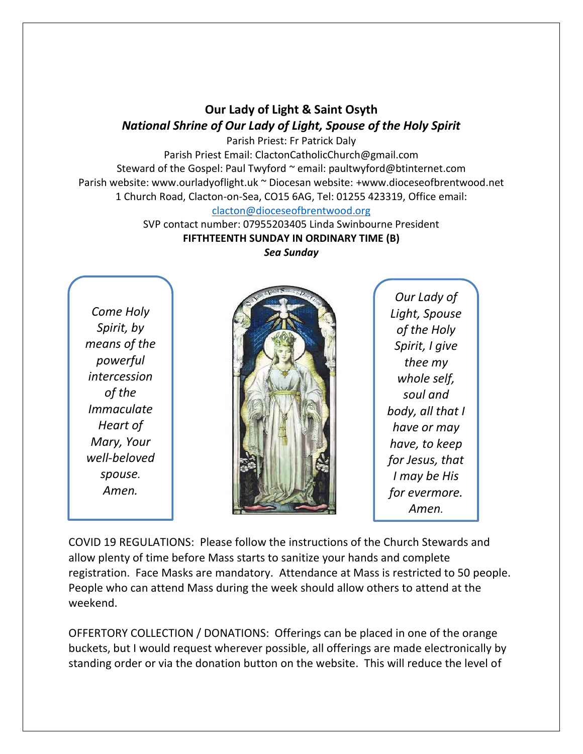## **Our Lady of Light & Saint Osyth** *National Shrine of Our Lady of Light, Spouse of the Holy Spirit*

Parish Priest: Fr Patrick Daly Parish Priest Email: ClactonCatholicChurch@gmail.com Steward of the Gospel: Paul Twyford ~ email: paultwyford@btinternet.com Parish website: www.ourladyoflight.uk ~ Diocesan website: +www.dioceseofbrentwood.net 1 Church Road, Clacton-on-Sea, CO15 6AG, Tel: 01255 423319, Office email:

[clacton@dioceseofbrentwood.org](mailto:clacton@dioceseofbrentwood.org)

SVP contact number: 07955203405 Linda Swinbourne President **FIFTHTEENTH SUNDAY IN ORDINARY TIME (B)**

*Sea Sunday*

*Come Holy Spirit, by means of the powerful intercession of the Immaculate Heart of Mary, Your well-beloved spouse. Amen.*



*Our Lady of Light, Spouse of the Holy Spirit, I give thee my whole self, soul and body, all that I have or may have, to keep for Jesus, that I may be His for evermore. Amen.*

COVID 19 REGULATIONS: Please follow the instructions of the Church Stewards and allow plenty of time before Mass starts to sanitize your hands and complete registration. Face Masks are mandatory. Attendance at Mass is restricted to 50 people. People who can attend Mass during the week should allow others to attend at the weekend.

OFFERTORY COLLECTION / DONATIONS: Offerings can be placed in one of the orange buckets, but I would request wherever possible, all offerings are made electronically by standing order or via the donation button on the website. This will reduce the level of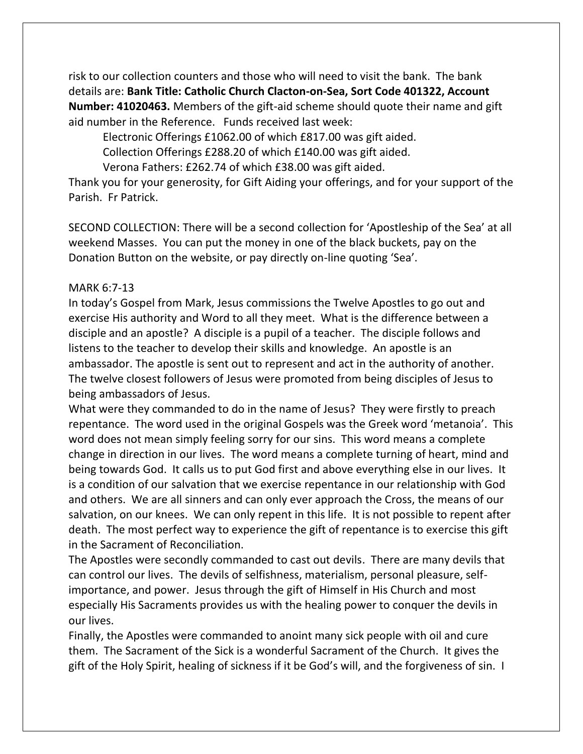risk to our collection counters and those who will need to visit the bank. The bank details are: **Bank Title: Catholic Church Clacton-on-Sea, Sort Code 401322, Account Number: 41020463.** Members of the gift-aid scheme should quote their name and gift aid number in the Reference. Funds received last week:

Electronic Offerings £1062.00 of which £817.00 was gift aided.

Collection Offerings £288.20 of which £140.00 was gift aided.

Verona Fathers: £262.74 of which £38.00 was gift aided.

Thank you for your generosity, for Gift Aiding your offerings, and for your support of the Parish. Fr Patrick.

SECOND COLLECTION: There will be a second collection for 'Apostleship of the Sea' at all weekend Masses. You can put the money in one of the black buckets, pay on the Donation Button on the website, or pay directly on-line quoting 'Sea'.

## MARK 6:7-13

In today's Gospel from Mark, Jesus commissions the Twelve Apostles to go out and exercise His authority and Word to all they meet. What is the difference between a disciple and an apostle? A disciple is a pupil of a teacher. The disciple follows and listens to the teacher to develop their skills and knowledge. An apostle is an ambassador. The apostle is sent out to represent and act in the authority of another. The twelve closest followers of Jesus were promoted from being disciples of Jesus to being ambassadors of Jesus.

What were they commanded to do in the name of Jesus? They were firstly to preach repentance. The word used in the original Gospels was the Greek word 'metanoia'. This word does not mean simply feeling sorry for our sins. This word means a complete change in direction in our lives. The word means a complete turning of heart, mind and being towards God. It calls us to put God first and above everything else in our lives. It is a condition of our salvation that we exercise repentance in our relationship with God and others. We are all sinners and can only ever approach the Cross, the means of our salvation, on our knees. We can only repent in this life. It is not possible to repent after death. The most perfect way to experience the gift of repentance is to exercise this gift in the Sacrament of Reconciliation.

The Apostles were secondly commanded to cast out devils. There are many devils that can control our lives. The devils of selfishness, materialism, personal pleasure, selfimportance, and power. Jesus through the gift of Himself in His Church and most especially His Sacraments provides us with the healing power to conquer the devils in our lives.

Finally, the Apostles were commanded to anoint many sick people with oil and cure them. The Sacrament of the Sick is a wonderful Sacrament of the Church. It gives the gift of the Holy Spirit, healing of sickness if it be God's will, and the forgiveness of sin. I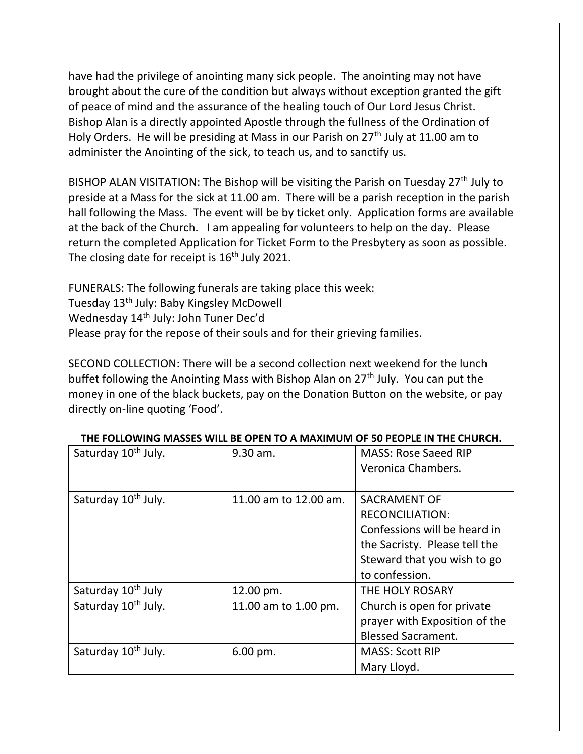have had the privilege of anointing many sick people. The anointing may not have brought about the cure of the condition but always without exception granted the gift of peace of mind and the assurance of the healing touch of Our Lord Jesus Christ. Bishop Alan is a directly appointed Apostle through the fullness of the Ordination of Holy Orders. He will be presiding at Mass in our Parish on 27<sup>th</sup> July at 11.00 am to administer the Anointing of the sick, to teach us, and to sanctify us.

BISHOP ALAN VISITATION: The Bishop will be visiting the Parish on Tuesday 27<sup>th</sup> July to preside at a Mass for the sick at 11.00 am. There will be a parish reception in the parish hall following the Mass. The event will be by ticket only. Application forms are available at the back of the Church. I am appealing for volunteers to help on the day. Please return the completed Application for Ticket Form to the Presbytery as soon as possible. The closing date for receipt is  $16<sup>th</sup>$  July 2021.

FUNERALS: The following funerals are taking place this week: Tuesday 13<sup>th</sup> July: Baby Kingsley McDowell Wednesday 14<sup>th</sup> July: John Tuner Dec'd Please pray for the repose of their souls and for their grieving families.

SECOND COLLECTION: There will be a second collection next weekend for the lunch buffet following the Anointing Mass with Bishop Alan on 27<sup>th</sup> July. You can put the money in one of the black buckets, pay on the Donation Button on the website, or pay directly on-line quoting 'Food'.

| Saturday 10 <sup>th</sup> July. | 9.30 am.               | <b>MASS: Rose Saeed RIP</b>   |
|---------------------------------|------------------------|-------------------------------|
|                                 |                        | Veronica Chambers.            |
|                                 |                        |                               |
| Saturday 10 <sup>th</sup> July. | 11.00 am to 12.00 am.  | SACRAMENT OF                  |
|                                 |                        | <b>RECONCILIATION:</b>        |
|                                 |                        | Confessions will be heard in  |
|                                 |                        | the Sacristy. Please tell the |
|                                 |                        | Steward that you wish to go   |
|                                 |                        | to confession.                |
| Saturday 10 <sup>th</sup> July  | 12.00 pm.              | THE HOLY ROSARY               |
| Saturday 10 <sup>th</sup> July. | 11.00 am to 1.00 pm.   | Church is open for private    |
|                                 |                        | prayer with Exposition of the |
|                                 |                        | <b>Blessed Sacrament.</b>     |
| Saturday 10 <sup>th</sup> July. | $6.00 \,\mathrm{pm}$ . | <b>MASS: Scott RIP</b>        |
|                                 |                        | Mary Lloyd.                   |

## **THE FOLLOWING MASSES WILL BE OPEN TO A MAXIMUM OF 50 PEOPLE IN THE CHURCH.**